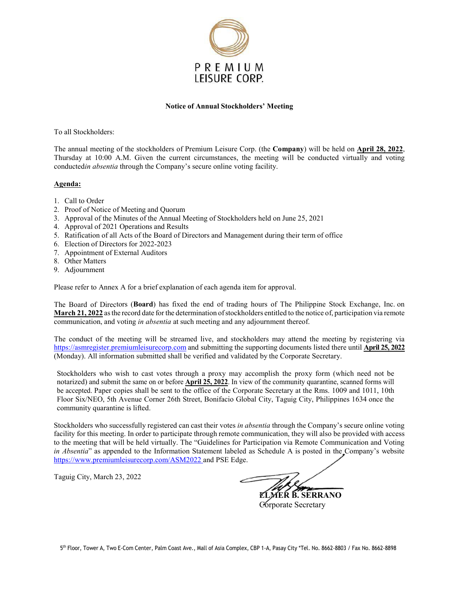

## **Notice of Annual Stockholders' Meeting**

To all Stockholders:

The annual meeting of the stockholders of Premium Leisure Corp. (the **Company**) will be held on **April 28, 2022**, Thursday at 10:00 A.M. Given the current circumstances, the meeting will be conducted virtually and voting conducted*in absentia* through the Company's secure online voting facility.

## **Agenda:**

- 1. Call to Order
- 2. Proof of Notice of Meeting and Quorum
- 3. Approval of the Minutes of the Annual Meeting of Stockholders held on June 25, 2021
- 4. Approval of 2021 Operations and Results
- 5. Ratification of all Acts of the Board of Directors and Management during their term of office
- 6. Election of Directors for 2022-2023
- 7. Appointment of External Auditors
- 8. Other Matters
- 9. Adjournment

Please refer to Annex A for a brief explanation of each agenda item for approval.

The Board of Directors (**Board**) has fixed the end of trading hours of The Philippine Stock Exchange, Inc. on **March 21, 2022** asthe record date for the determination ofstockholders entitled to the notice of, participation via remote communication, and voting *in absentia* at such meeting and any adjournment thereof.

The conduct of the meeting will be streamed live, and stockholders may attend the meeting by registering via https://asmregister.premiumleisurecorp.com and submitting the supporting documents listed there until **April 25, 2022** (Monday). All information submitted shall be verified and validated by the Corporate Secretary.

Stockholders who wish to cast votes through a proxy may accomplish the proxy form (which need not be notarized) and submit the same on or before **April 25, 2022**. In view of the community quarantine, scanned forms will be accepted. Paper copies shall be sent to the office of the Corporate Secretary at the Rms. 1009 and 1011, 10th Floor Six/NEO, 5th Avenue Corner 26th Street, Bonifacio Global City, Taguig City, Philippines 1634 once the community quarantine is lifted.

Stockholders who successfully registered can cast their votes *in absentia* through the Company's secure online voting facility for this meeting. In order to participate through remote communication, they will also be provided with access to the meeting that will be held virtually. The "Guidelines for Participation via Remote Communication and Voting *in Absentia*" as appended to the Information Statement labeled as Schedule A is posted in the Company's website https://www.premiumleisurecorp.com/ASM2022 and PSE Edge.

Taguig City, March 23, 2022

 **ELMER B. SERRANO** Corporate Secretary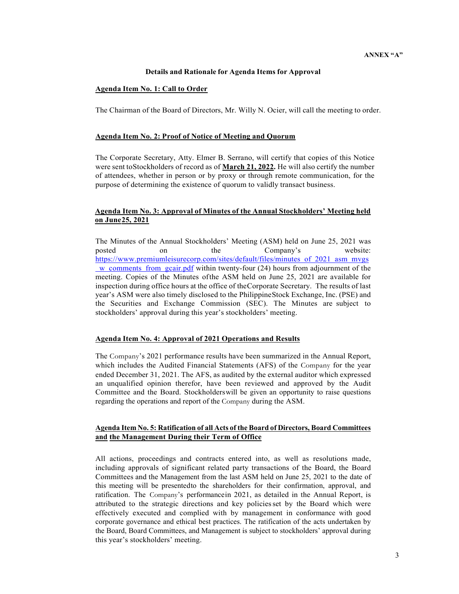## **Details and Rationale for Agenda Items for Approval**

#### **Agenda Item No. 1: Call to Order**

The Chairman of the Board of Directors, Mr. Willy N. Ocier, will call the meeting to order.

#### **Agenda Item No. 2: Proof of Notice of Meeting and Quorum**

The Corporate Secretary, Atty. Elmer B. Serrano, will certify that copies of this Notice were sent toStockholders of record as of **March 21, 2022.** He will also certify the number of attendees, whether in person or by proxy or through remote communication, for the purpose of determining the existence of quorum to validly transact business.

# **Agenda Item No. 3: Approval of Minutes of the Annual Stockholders' Meeting held on June25, 2021**

The Minutes of the Annual Stockholders' Meeting (ASM) held on June 25, 2021 was posted on the Company's website: https://www.premiumleisurecorp.com/sites/default/files/minutes of 2021 asm mvgs w comments from gcair.pdf within twenty-four (24) hours from adjournment of the meeting. Copies of the Minutes ofthe ASM held on June 25, 2021 are available for inspection during office hours at the office of theCorporate Secretary. The results of last year's ASM were also timely disclosed to the PhilippineStock Exchange, Inc. (PSE) and the Securities and Exchange Commission (SEC). The Minutes are subject to stockholders' approval during this year's stockholders' meeting.

#### **Agenda Item No. 4: Approval of 2021 Operations and Results**

The Company's 2021 performance results have been summarized in the Annual Report, which includes the Audited Financial Statements (AFS) of the Company for the year ended December 31, 2021. The AFS, as audited by the external auditor which expressed an unqualified opinion therefor, have been reviewed and approved by the Audit Committee and the Board. Stockholderswill be given an opportunity to raise questions regarding the operations and report of the Company during the ASM.

## **Agenda Item No. 5: Ratification of all Acts of the Board of Directors, Board Committees and the Management During their Term of Office**

All actions, proceedings and contracts entered into, as well as resolutions made, including approvals of significant related party transactions of the Board, the Board Committees and the Management from the last ASM held on June 25, 2021 to the date of this meeting will be presentedto the shareholders for their confirmation, approval, and ratification. The Company's performancein 2021, as detailed in the Annual Report, is attributed to the strategic directions and key policiesset by the Board which were effectively executed and complied with by management in conformance with good corporate governance and ethical best practices. The ratification of the acts undertaken by the Board, Board Committees, and Management is subject to stockholders' approval during this year's stockholders' meeting.